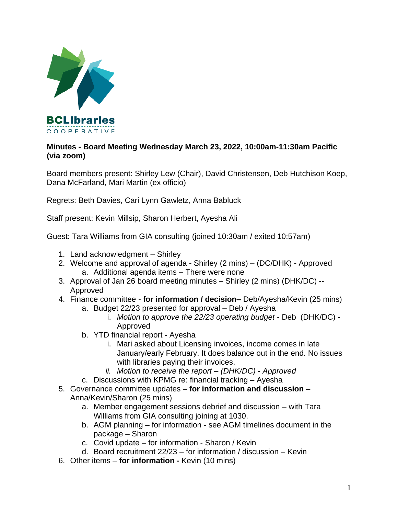

## **Minutes - Board Meeting Wednesday March 23, 2022, 10:00am-11:30am Pacific (via zoom)**

Board members present: Shirley Lew (Chair), David Christensen, Deb Hutchison Koep, Dana McFarland, Mari Martin (ex officio)

Regrets: Beth Davies, Cari Lynn Gawletz, Anna Babluck

Staff present: Kevin Millsip, Sharon Herbert, Ayesha Ali

Guest: Tara Williams from GIA consulting (joined 10:30am / exited 10:57am)

- 1. Land acknowledgment Shirley
- 2. Welcome and approval of agenda Shirley (2 mins) (DC/DHK) Approved a. Additional agenda items – There were none
- 3. Approval of Jan 26 board meeting minutes Shirley (2 mins) (DHK/DC) -- Approved
- 4. Finance committee **for information / decision–** Deb/Ayesha/Kevin (25 mins)
	- a. Budget 22/23 presented for approval Deb / Ayesha
		- i. *Motion to approve the 22/23 operating budget* Deb (DHK/DC) Approved
	- b. YTD financial report Ayesha
		- i. Mari asked about Licensing invoices, income comes in late January/early February. It does balance out in the end. No issues with libraries paying their invoices.
		- *ii. Motion to receive the report – (DHK/DC) - Approved*
	- c. Discussions with KPMG re: financial tracking Ayesha
- 5. Governance committee updates **for information and discussion** Anna/Kevin/Sharon (25 mins)
	- a. Member engagement sessions debrief and discussion with Tara Williams from GIA consulting joining at 1030.
	- b. AGM planning for information see AGM timelines document in the package – Sharon
	- c. Covid update for information Sharon / Kevin
	- d. Board recruitment 22/23 for information / discussion Kevin
- 6. Other items **for information -** Kevin (10 mins)